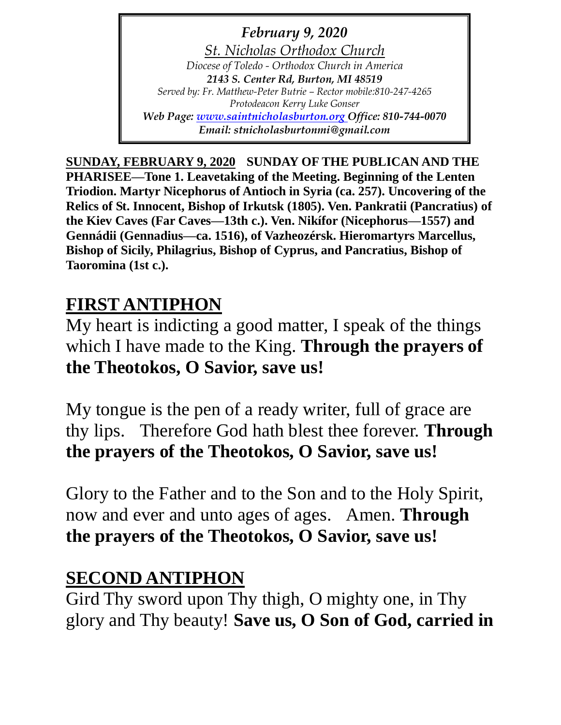*February 9, 2020 St. Nicholas Orthodox Church Diocese of Toledo - Orthodox Church in America 2143 S. Center Rd, Burton, MI 48519 Served by: Fr. Matthew-Peter Butrie – Rector mobile:810-247-4265 Protodeacon Kerry Luke Gonser Web Page: [www.saintnicholasburton.org](http://www.saintnicholasburton.org/) Office: 810-744-0070 Email: stnicholasburtonmi@gmail.com*

**SUNDAY, FEBRUARY 9, 2020 SUNDAY OF THE PUBLICAN AND THE PHARISEE—Tone 1. Leavetaking of the Meeting. Beginning of the Lenten Triodion. Martyr Nicephorus of Antioch in Syria (ca. 257). Uncovering of the Relics of St. Innocent, Bishop of Irkutsk (1805). Ven. Pankratii (Pancratius) of the Kiev Caves (Far Caves—13th c.). Ven. Nikífor (Nicephorus—1557) and Gennádii (Gennadius—ca. 1516), of Vazheozérsk. Hieromartyrs Marcellus, Bishop of Sicily, Philagrius, Bishop of Cyprus, and Pancratius, Bishop of Taoromina (1st c.).**

# **FIRST ANTIPHON**

My heart is indicting a good matter, I speak of the things which I have made to the King. **Through the prayers of the Theotokos, O Savior, save us!**

My tongue is the pen of a ready writer, full of grace are thy lips. Therefore God hath blest thee forever. **Through the prayers of the Theotokos, O Savior, save us!**

Glory to the Father and to the Son and to the Holy Spirit, now and ever and unto ages of ages. Amen. **Through the prayers of the Theotokos, O Savior, save us!**

## **SECOND ANTIPHON**

Gird Thy sword upon Thy thigh, O mighty one, in Thy glory and Thy beauty! **Save us, O Son of God, carried in**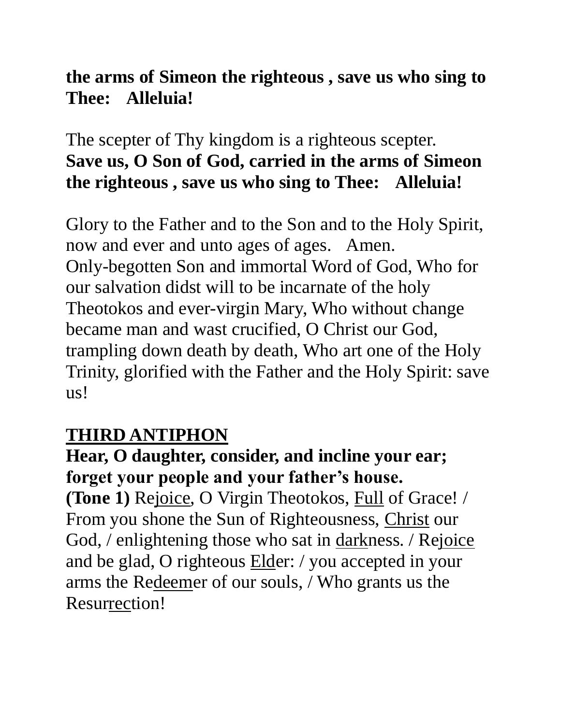## **the arms of Simeon the righteous , save us who sing to Thee: Alleluia!**

## The scepter of Thy kingdom is a righteous scepter. **Save us, O Son of God, carried in the arms of Simeon the righteous , save us who sing to Thee: Alleluia!**

Glory to the Father and to the Son and to the Holy Spirit, now and ever and unto ages of ages. Amen. Only-begotten Son and immortal Word of God, Who for our salvation didst will to be incarnate of the holy Theotokos and ever-virgin Mary, Who without change became man and wast crucified, O Christ our God, trampling down death by death, Who art one of the Holy Trinity, glorified with the Father and the Holy Spirit: save us!

# **THIRD ANTIPHON**

## **Hear, O daughter, consider, and incline your ear; forget your people and your father's house.**

**(Tone 1)** Rejoice, O Virgin Theotokos, Full of Grace! / From you shone the Sun of Righteousness, Christ our God, / enlightening those who sat in darkness. / Rejoice and be glad, O righteous Elder: / you accepted in your arms the Redeemer of our souls, / Who grants us the Resurrection!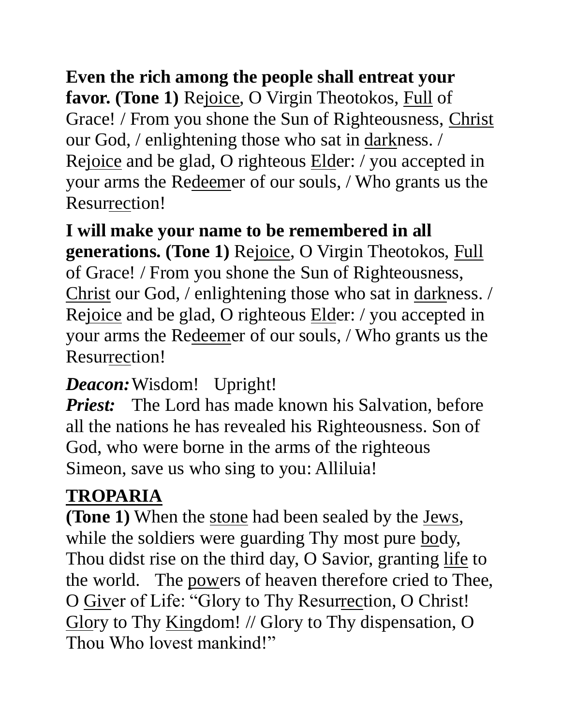## **Even the rich among the people shall entreat your favor. (Tone 1)** Rejoice, O Virgin Theotokos, Full of Grace! / From you shone the Sun of Righteousness, Christ our God, / enlightening those who sat in darkness. / Rejoice and be glad, O righteous Elder: / you accepted in your arms the Redeemer of our souls, / Who grants us the Resurrection!

# **I will make your name to be remembered in all**

**generations. (Tone 1)** Rejoice, O Virgin Theotokos, Full of Grace! / From you shone the Sun of Righteousness, Christ our God, / enlightening those who sat in darkness. / Rejoice and be glad, O righteous Elder: / you accepted in your arms the Redeemer of our souls, / Who grants us the Resurrection!

## *Deacon:*Wisdom! Upright!

*Priest:* The Lord has made known his Salvation, before all the nations he has revealed his Righteousness. Son of God, who were borne in the arms of the righteous Simeon, save us who sing to you: Alliluia!

# **TROPARIA**

**(Tone 1)** When the stone had been sealed by the Jews, while the soldiers were guarding Thy most pure body, Thou didst rise on the third day, O Savior, granting life to the world. The powers of heaven therefore cried to Thee, O Giver of Life: "Glory to Thy Resurrection, O Christ! Glory to Thy Kingdom! // Glory to Thy dispensation, O Thou Who lovest mankind!"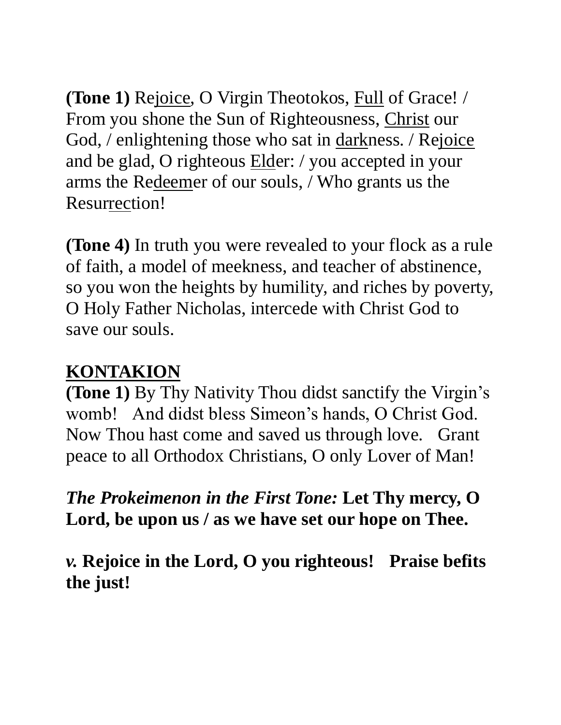**(Tone 1)** Rejoice, O Virgin Theotokos, Full of Grace! / From you shone the Sun of Righteousness, Christ our God, / enlightening those who sat in darkness. / Rejoice and be glad, O righteous Elder: / you accepted in your arms the Redeemer of our souls, / Who grants us the Resurrection!

**(Tone 4)** In truth you were revealed to your flock as a rule of faith, a model of meekness, and teacher of abstinence, so you won the heights by humility, and riches by poverty, O Holy Father Nicholas, intercede with Christ God to save our souls.

### **KONTAKION**

**(Tone 1)** By Thy Nativity Thou didst sanctify the Virgin's womb! And didst bless Simeon's hands, O Christ God. Now Thou hast come and saved us through love. Grant peace to all Orthodox Christians, O only Lover of Man!

*The Prokeimenon in the First Tone:* **Let Thy mercy, O Lord, be upon us / as we have set our hope on Thee.**

*v.* **Rejoice in the Lord, O you righteous! Praise befits the just!**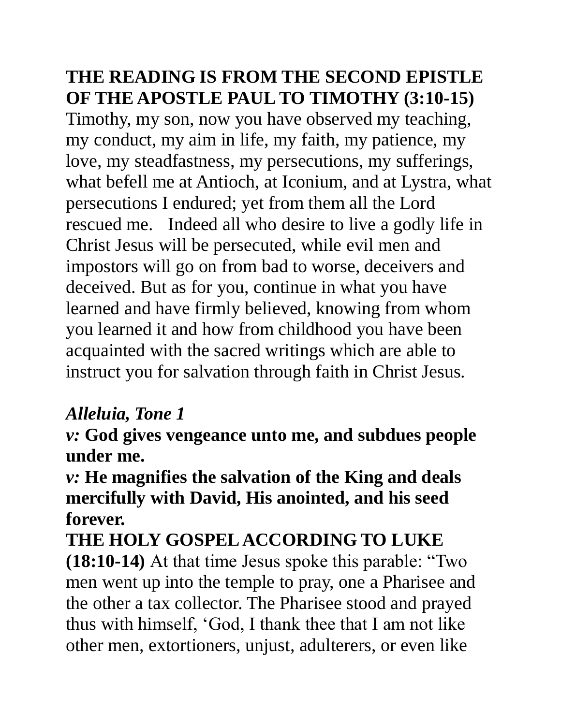## **THE READING IS FROM THE SECOND EPISTLE OF THE APOSTLE PAUL TO TIMOTHY (3:10-15)**

Timothy, my son, now you have observed my teaching, my conduct, my aim in life, my faith, my patience, my love, my steadfastness, my persecutions, my sufferings, what befell me at Antioch, at Iconium, and at Lystra, what persecutions I endured; yet from them all the Lord rescued me. Indeed all who desire to live a godly life in Christ Jesus will be persecuted, while evil men and impostors will go on from bad to worse, deceivers and deceived. But as for you, continue in what you have learned and have firmly believed, knowing from whom you learned it and how from childhood you have been acquainted with the sacred writings which are able to instruct you for salvation through faith in Christ Jesus.

## *Alleluia, Tone 1*

*v:* **God gives vengeance unto me, and subdues people under me.**

*v:* **He magnifies the salvation of the King and deals mercifully with David, His anointed, and his seed forever.**

# **THE HOLY GOSPEL ACCORDING TO LUKE**

**(18:10-14)** At that time Jesus spoke this parable: "Two men went up into the temple to pray, one a Pharisee and the other a tax collector. The Pharisee stood and prayed thus with himself, 'God, I thank thee that I am not like other men, extortioners, unjust, adulterers, or even like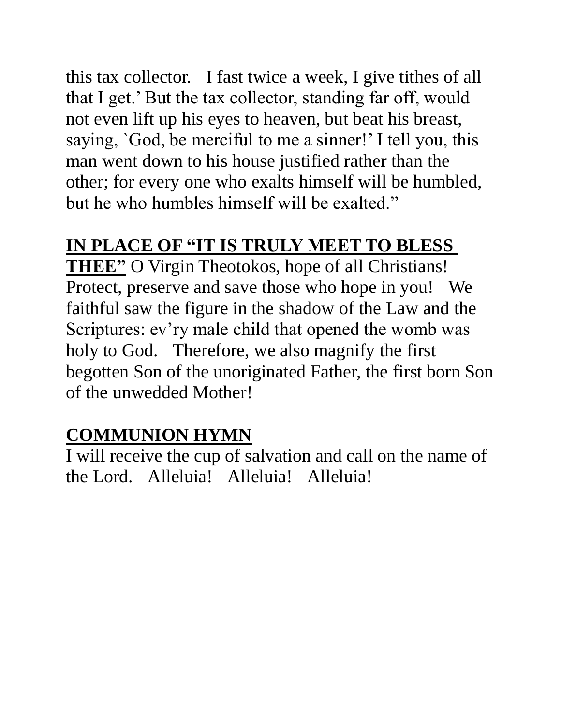this tax collector. I fast twice a week, I give tithes of all that I get.' But the tax collector, standing far off, would not even lift up his eyes to heaven, but beat his breast, saying, `God, be merciful to me a sinner!' I tell you, this man went down to his house justified rather than the other; for every one who exalts himself will be humbled, but he who humbles himself will be exalted."

# **IN PLACE OF "IT IS TRULY MEET TO BLESS**

**THEE"** O Virgin Theotokos, hope of all Christians! Protect, preserve and save those who hope in you! We faithful saw the figure in the shadow of the Law and the Scriptures: ev'ry male child that opened the womb was holy to God. Therefore, we also magnify the first begotten Son of the unoriginated Father, the first born Son of the unwedded Mother!

# **COMMUNION HYMN**

I will receive the cup of salvation and call on the name of the Lord. Alleluia! Alleluia! Alleluia!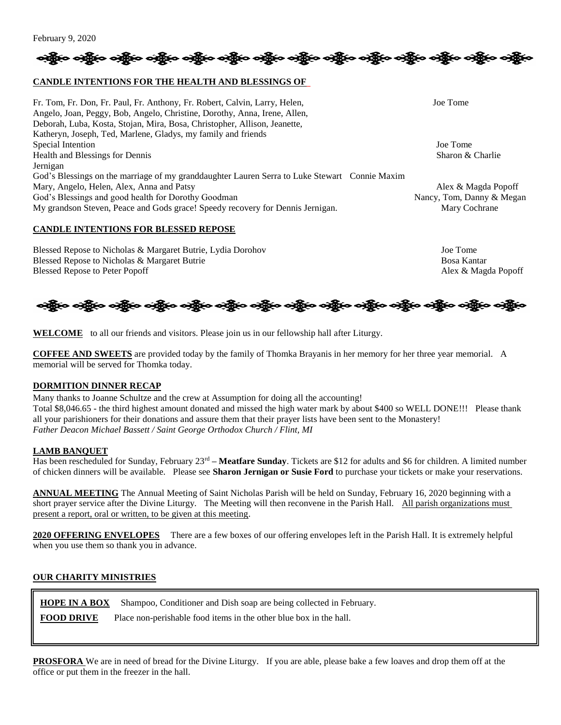#### လန္တြိုးေပါ့ရွိလ ပါ့ရွိလ ပါ့ရွိလ ပါ့ရွိလ ပါ့ရွိလ ပါ့ရွိလ ပါ့ရွိလ ပါရွိလ ပါရွိလ ပါရွိလ ပါရွိလ ပါရွိလ ပါ

#### **CANDLE INTENTIONS FOR THE HEALTH AND BLESSINGS OF**

Fr. Tom, Fr. Don, Fr. Paul, Fr. Anthony, Fr. Robert, Calvin, Larry, Helen, Joe Tome Angelo, Joan, Peggy, Bob, Angelo, Christine, Dorothy, Anna, Irene, Allen, Deborah, Luba, Kosta, Stojan, Mira, Bosa, Christopher, Allison, Jeanette, Katheryn, Joseph, Ted, Marlene, Gladys, my family and friends Special Intention Joe Tome Health and Blessings for Dennis Sharon & Charlie Sharon & Charlie Sharon & Charlie Jernigan God's Blessings on the marriage of my granddaughter Lauren Serra to Luke Stewart Connie Maxim Mary, Angelo, Helen, Alex, Anna and Patsy Alex & Magda Popoff Alex & Magda Popoff God's Blessings and good health for Dorothy Goodman Nancy, Tom, Danny & Megan My grandson Steven, Peace and Gods grace! Speedy recovery for Dennis Jernigan. Mary Cochrane

#### **CANDLE INTENTIONS FOR BLESSED REPOSE**

Blessed Repose to Nicholas & Margaret Butrie, Lydia Dorohov Joe Tome Joe Tome Blessed Repose to Nicholas & Margaret Butrie Bosa Kantar Bosa Kantar Bosa Kantar Blessed Repose to Peter Popoff **Alex & Magda Popoff** Alex & Magda Popoff **Alex & Magda Popoff** 



**WELCOME** to all our friends and visitors. Please join us in our fellowship hall after Liturgy.

**COFFEE AND SWEETS** are provided today by the family of Thomka Brayanis in her memory for her three year memorial. A memorial will be served for Thomka today.

#### **DORMITION DINNER RECAP**

Many thanks to Joanne Schultze and the crew at Assumption for doing all the accounting! Total \$8,046.65 - the third highest amount donated and missed the high water mark by about \$400 so WELL DONE!!! Please thank all your parishioners for their donations and assure them that their prayer lists have been sent to the Monastery! *Father Deacon Michael Bassett / Saint George Orthodox Church / Flint, MI*

#### **LAMB BANQUET**

Has been rescheduled for Sunday, February 23rd **– Meatfare Sunday**. Tickets are \$12 for adults and \$6 for children. A limited number of chicken dinners will be available. Please see **Sharon Jernigan or Susie Ford** to purchase your tickets or make your reservations.

**ANNUAL MEETING** The Annual Meeting of Saint Nicholas Parish will be held on Sunday, February 16, 2020 beginning with a short prayer service after the Divine Liturgy. The Meeting will then reconvene in the Parish Hall. All parish organizations must present a report, oral or written, to be given at this meeting.

**2020 OFFERING ENVELOPES** There are a few boxes of our offering envelopes left in the Parish Hall. It is extremely helpful when you use them so thank you in advance.

#### **OUR CHARITY MINISTRIES**

**HOPE IN A BOX** Shampoo, Conditioner and Dish soap are being collected in February.

**FOOD DRIVE** Place non-perishable food items in the other blue box in the hall.

**PROSFORA** We are in need of bread for the Divine Liturgy. If you are able, please bake a few loaves and drop them off at the office or put them in the freezer in the hall.